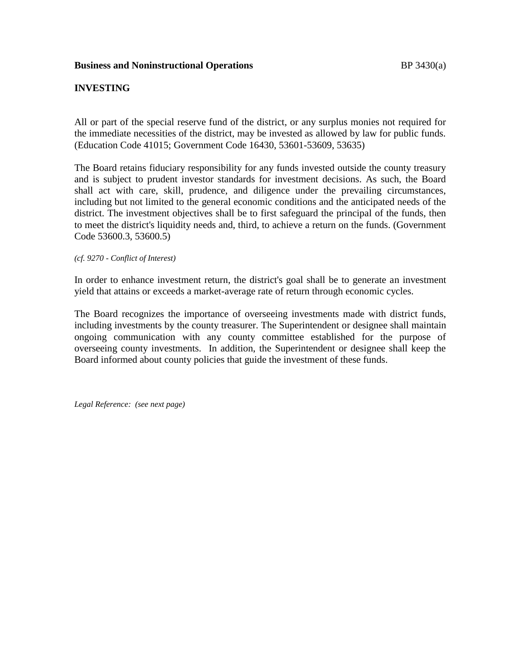# **INVESTING**

All or part of the special reserve fund of the district, or any surplus monies not required for the immediate necessities of the district, may be invested as allowed by law for public funds. (Education Code 41015; Government Code 16430, 53601-53609, 53635)

The Board retains fiduciary responsibility for any funds invested outside the county treasury and is subject to prudent investor standards for investment decisions. As such, the Board shall act with care, skill, prudence, and diligence under the prevailing circumstances, including but not limited to the general economic conditions and the anticipated needs of the district. The investment objectives shall be to first safeguard the principal of the funds, then to meet the district's liquidity needs and, third, to achieve a return on the funds. (Government Code 53600.3, 53600.5)

*(cf. 9270 - Conflict of Interest)*

In order to enhance investment return, the district's goal shall be to generate an investment yield that attains or exceeds a market-average rate of return through economic cycles.

The Board recognizes the importance of overseeing investments made with district funds, including investments by the county treasurer. The Superintendent or designee shall maintain ongoing communication with any county committee established for the purpose of overseeing county investments. In addition, the Superintendent or designee shall keep the Board informed about county policies that guide the investment of these funds.

*Legal Reference: (see next page)*